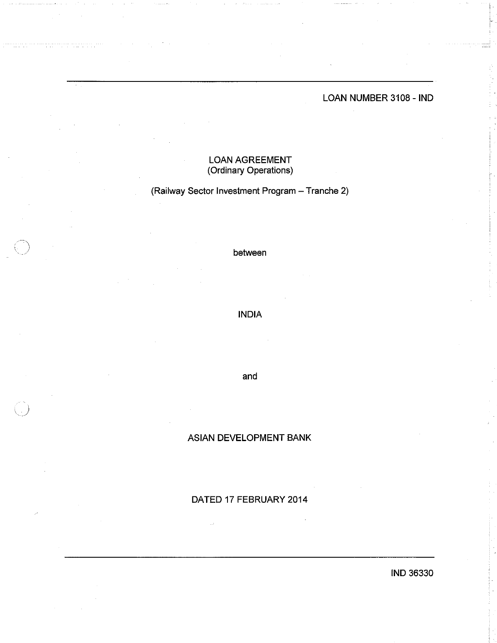LOAN NUMBER 3108 - IND

# **LOAN AGREEMENT** (Ordinary Operations)

(Railway Sector Investment Program - Tranche 2)

between

**INDIA** 

and

# **ASIAN DEVELOPMENT BANK**

DATED 17 FEBRUARY 2014

IND 36330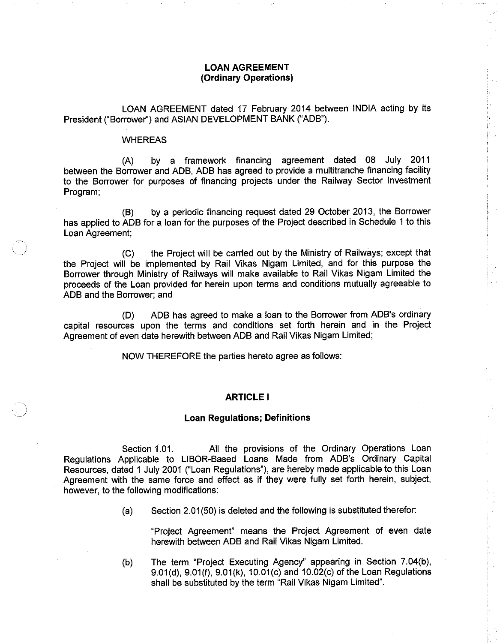## **LOAN AGREEMENT** (Ordinary Operations)

LOAN AGREEMENT dated 17 February 2014 between INDIA acting by its President ("Borrower") and ASIAN DEVELOPMENT BANK ("ADB").

#### **WHEREAS**

agreement dated 08 July 2011 by a framework financing  $(A)$ between the Borrower and ADB, ADB has agreed to provide a multitranche financing facility to the Borrower for purposes of financing projects under the Railway Sector Investment Program:

by a periodic financing request dated 29 October 2013, the Borrower  $(B)$ has applied to ADB for a loan for the purposes of the Project described in Schedule 1 to this Loan Agreement:

the Project will be carried out by the Ministry of Railways; except that  $(C)$ the Project will be implemented by Rail Vikas Nigam Limited, and for this purpose the Borrower through Ministry of Railways will make available to Rail Vikas Nigam Limited the proceeds of the Loan provided for herein upon terms and conditions mutually agreeable to ADB and the Borrower; and

ADB has agreed to make a loan to the Borrower from ADB's ordinarv  $(D)$ capital resources upon the terms and conditions set forth herein and in the Project Agreement of even date herewith between ADB and Rail Vikas Nigam Limited;

NOW THEREFORE the parties hereto agree as follows:

#### **ARTICLE I**

#### **Loan Regulations: Definitions**

Section 1.01. All the provisions of the Ordinary Operations Loan Regulations Applicable to LIBOR-Based Loans Made from ADB's Ordinary Capital Resources, dated 1 July 2001 ("Loan Regulations"), are hereby made applicable to this Loan Agreement with the same force and effect as if they were fully set forth herein, subject, however, to the following modifications:

> Section 2.01(50) is deleted and the following is substituted therefor:  $(a)$

"Project Agreement" means the Project Agreement of even date herewith between ADB and Rail Vikas Nigam Limited.

The term "Project Executing Agency" appearing in Section 7.04(b),  $(b)$ 9.01(d), 9.01(f), 9.01(k), 10.01(c) and 10.02(c) of the Loan Regulations shall be substituted by the term "Rail Vikas Nigam Limited".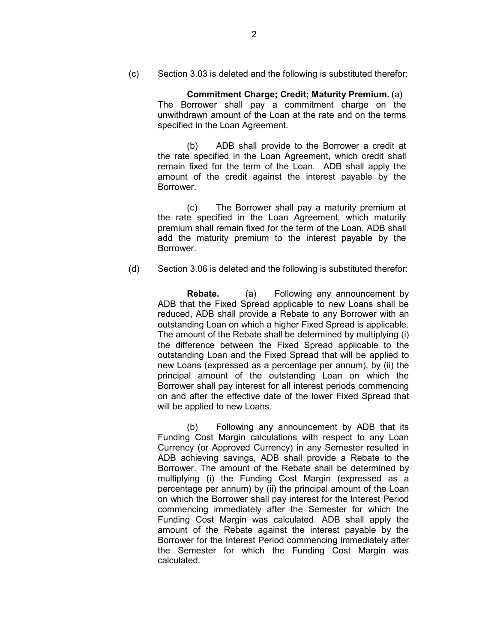(c) Section 3.03 is deleted and the following is substituted therefor:

**Commitment Charge; Credit; Maturity Premium.** (a) The Borrower shall pay a commitment charge on the unwithdrawn amount of the Loan at the rate and on the terms specified in the Loan Agreement.

(b) ADB shall provide to the Borrower a credit at the rate specified in the Loan Agreement, which credit shall remain fixed for the term of the Loan. ADB shall apply the amount of the credit against the interest payable by the Borrower.

(c) The Borrower shall pay a maturity premium at the rate specified in the Loan Agreement, which maturity premium shall remain fixed for the term of the Loan. ADB shall add the maturity premium to the interest payable by the Borrower.

(d) Section 3.06 is deleted and the following is substituted therefor:

**Rebate.** (a) Following any announcement by ADB that the Fixed Spread applicable to new Loans shall be reduced, ADB shall provide a Rebate to any Borrower with an outstanding Loan on which a higher Fixed Spread is applicable. The amount of the Rebate shall be determined by multiplying (i) the difference between the Fixed Spread applicable to the outstanding Loan and the Fixed Spread that will be applied to new Loans (expressed as a percentage per annum), by (ii) the principal amount of the outstanding Loan on which the Borrower shall pay interest for all interest periods commencing on and after the effective date of the lower Fixed Spread that will be applied to new Loans.

(b) Following any announcement by ADB that its Funding Cost Margin calculations with respect to any Loan Currency (or Approved Currency) in any Semester resulted in ADB achieving savings, ADB shall provide a Rebate to the Borrower. The amount of the Rebate shall be determined by multiplying (i) the Funding Cost Margin (expressed as a percentage per annum) by (ii) the principal amount of the Loan on which the Borrower shall pay interest for the Interest Period commencing immediately after the Semester for which the Funding Cost Margin was calculated. ADB shall apply the amount of the Rebate against the interest payable by the Borrower for the Interest Period commencing immediately after the Semester for which the Funding Cost Margin was calculated.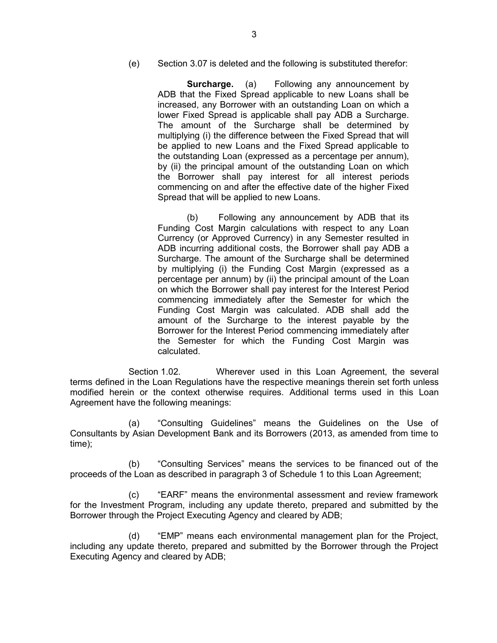(e) Section 3.07 is deleted and the following is substituted therefor:

**Surcharge.** (a) Following any announcement by ADB that the Fixed Spread applicable to new Loans shall be increased, any Borrower with an outstanding Loan on which a lower Fixed Spread is applicable shall pay ADB a Surcharge. The amount of the Surcharge shall be determined by multiplying (i) the difference between the Fixed Spread that will be applied to new Loans and the Fixed Spread applicable to the outstanding Loan (expressed as a percentage per annum), by (ii) the principal amount of the outstanding Loan on which the Borrower shall pay interest for all interest periods commencing on and after the effective date of the higher Fixed Spread that will be applied to new Loans.

(b) Following any announcement by ADB that its Funding Cost Margin calculations with respect to any Loan Currency (or Approved Currency) in any Semester resulted in ADB incurring additional costs, the Borrower shall pay ADB a Surcharge. The amount of the Surcharge shall be determined by multiplying (i) the Funding Cost Margin (expressed as a percentage per annum) by (ii) the principal amount of the Loan on which the Borrower shall pay interest for the Interest Period commencing immediately after the Semester for which the Funding Cost Margin was calculated. ADB shall add the amount of the Surcharge to the interest payable by the Borrower for the Interest Period commencing immediately after the Semester for which the Funding Cost Margin was calculated.

 Section 1.02. Wherever used in this Loan Agreement, the several terms defined in the Loan Regulations have the respective meanings therein set forth unless modified herein or the context otherwise requires. Additional terms used in this Loan Agreement have the following meanings:

(a) "Consulting Guidelines" means the Guidelines on the Use of Consultants by Asian Development Bank and its Borrowers (2013, as amended from time to time);

(b) "Consulting Services" means the services to be financed out of the proceeds of the Loan as described in paragraph 3 of Schedule 1 to this Loan Agreement;

(c) "EARF" means the environmental assessment and review framework for the Investment Program, including any update thereto, prepared and submitted by the Borrower through the Project Executing Agency and cleared by ADB;

(d) "EMP" means each environmental management plan for the Project, including any update thereto, prepared and submitted by the Borrower through the Project Executing Agency and cleared by ADB;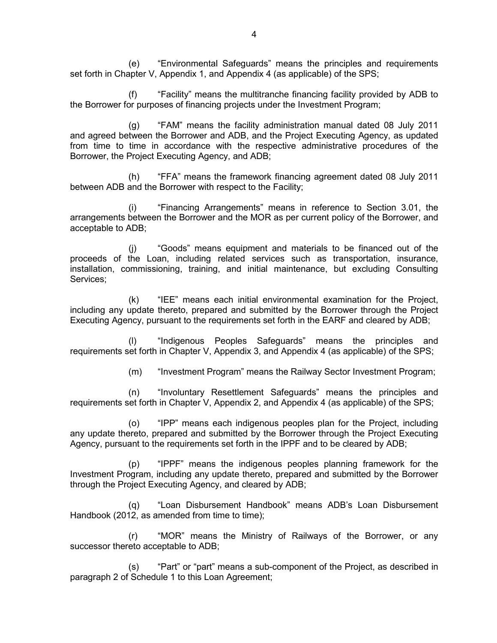(e) "Environmental Safeguards" means the principles and requirements set forth in Chapter V, Appendix 1, and Appendix 4 (as applicable) of the SPS;

(f) "Facility" means the multitranche financing facility provided by ADB to the Borrower for purposes of financing projects under the Investment Program;

(g) "FAM" means the facility administration manual dated 08 July 2011 and agreed between the Borrower and ADB, and the Project Executing Agency, as updated from time to time in accordance with the respective administrative procedures of the Borrower, the Project Executing Agency, and ADB;

(h) "FFA" means the framework financing agreement dated 08 July 2011 between ADB and the Borrower with respect to the Facility;

(i) "Financing Arrangements" means in reference to Section 3.01, the arrangements between the Borrower and the MOR as per current policy of the Borrower, and acceptable to ADB;

(j) "Goods" means equipment and materials to be financed out of the proceeds of the Loan, including related services such as transportation, insurance, installation, commissioning, training, and initial maintenance, but excluding Consulting Services;

(k) "IEE" means each initial environmental examination for the Project, including any update thereto, prepared and submitted by the Borrower through the Project Executing Agency, pursuant to the requirements set forth in the EARF and cleared by ADB;

(l) "Indigenous Peoples Safeguards" means the principles and requirements set forth in Chapter V, Appendix 3, and Appendix 4 (as applicable) of the SPS;

(m) "Investment Program" means the Railway Sector Investment Program;

(n) "Involuntary Resettlement Safeguards" means the principles and requirements set forth in Chapter V, Appendix 2, and Appendix 4 (as applicable) of the SPS;

(o) "IPP" means each indigenous peoples plan for the Project, including any update thereto, prepared and submitted by the Borrower through the Project Executing Agency, pursuant to the requirements set forth in the IPPF and to be cleared by ADB;

(p) "IPPF" means the indigenous peoples planning framework for the Investment Program, including any update thereto, prepared and submitted by the Borrower through the Project Executing Agency, and cleared by ADB;

(q) "Loan Disbursement Handbook" means ADB's Loan Disbursement Handbook (2012, as amended from time to time);

(r) "MOR" means the Ministry of Railways of the Borrower, or any successor thereto acceptable to ADB;

(s) "Part" or "part" means a sub-component of the Project, as described in paragraph 2 of Schedule 1 to this Loan Agreement;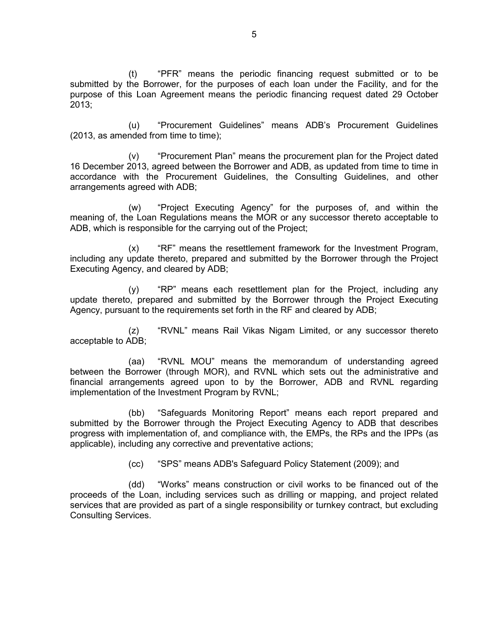(t) "PFR" means the periodic financing request submitted or to be submitted by the Borrower, for the purposes of each loan under the Facility, and for the purpose of this Loan Agreement means the periodic financing request dated 29 October 2013;

(u) "Procurement Guidelines" means ADB's Procurement Guidelines (2013, as amended from time to time);

(v) "Procurement Plan" means the procurement plan for the Project dated 16 December 2013, agreed between the Borrower and ADB, as updated from time to time in accordance with the Procurement Guidelines, the Consulting Guidelines, and other arrangements agreed with ADB;

(w) "Project Executing Agency" for the purposes of, and within the meaning of, the Loan Regulations means the MOR or any successor thereto acceptable to ADB, which is responsible for the carrying out of the Project;

(x) "RF" means the resettlement framework for the Investment Program, including any update thereto, prepared and submitted by the Borrower through the Project Executing Agency, and cleared by ADB;

(y) "RP" means each resettlement plan for the Project, including any update thereto, prepared and submitted by the Borrower through the Project Executing Agency, pursuant to the requirements set forth in the RF and cleared by ADB;

(z) "RVNL" means Rail Vikas Nigam Limited, or any successor thereto acceptable to ADB;

(aa) "RVNL MOU" means the memorandum of understanding agreed between the Borrower (through MOR), and RVNL which sets out the administrative and financial arrangements agreed upon to by the Borrower, ADB and RVNL regarding implementation of the Investment Program by RVNL;

(bb) "Safeguards Monitoring Report" means each report prepared and submitted by the Borrower through the Project Executing Agency to ADB that describes progress with implementation of, and compliance with, the EMPs, the RPs and the IPPs (as applicable), including any corrective and preventative actions;

(cc) "SPS" means ADB's Safeguard Policy Statement (2009); and

(dd) "Works" means construction or civil works to be financed out of the proceeds of the Loan, including services such as drilling or mapping, and project related services that are provided as part of a single responsibility or turnkey contract, but excluding Consulting Services.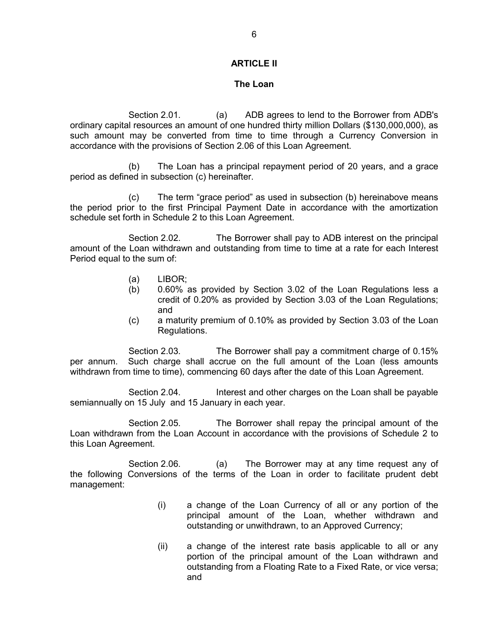## **ARTICLE II**

### **The Loan**

 Section 2.01. (a) ADB agrees to lend to the Borrower from ADB's ordinary capital resources an amount of one hundred thirty million Dollars (\$130,000,000), as such amount may be converted from time to time through a Currency Conversion in accordance with the provisions of Section 2.06 of this Loan Agreement.

(b) The Loan has a principal repayment period of 20 years, and a grace period as defined in subsection (c) hereinafter.

(c) The term "grace period" as used in subsection (b) hereinabove means the period prior to the first Principal Payment Date in accordance with the amortization schedule set forth in Schedule 2 to this Loan Agreement.

Section 2.02. The Borrower shall pay to ADB interest on the principal amount of the Loan withdrawn and outstanding from time to time at a rate for each Interest Period equal to the sum of:

- (a) LIBOR;
- (b) 0.60% as provided by Section 3.02 of the Loan Regulations less a credit of 0.20% as provided by Section 3.03 of the Loan Regulations; and
- (c) a maturity premium of 0.10% as provided by Section 3.03 of the Loan Regulations.

 Section 2.03. The Borrower shall pay a commitment charge of 0.15% per annum. Such charge shall accrue on the full amount of the Loan (less amounts withdrawn from time to time), commencing 60 days after the date of this Loan Agreement.

 Section 2.04. Interest and other charges on the Loan shall be payable semiannually on 15 July and 15 January in each year.

 Section 2.05. The Borrower shall repay the principal amount of the Loan withdrawn from the Loan Account in accordance with the provisions of Schedule 2 to this Loan Agreement.

Section 2.06. (a) The Borrower may at any time request any of the following Conversions of the terms of the Loan in order to facilitate prudent debt management:

- (i) a change of the Loan Currency of all or any portion of the principal amount of the Loan, whether withdrawn and outstanding or unwithdrawn, to an Approved Currency;
- (ii) a change of the interest rate basis applicable to all or any portion of the principal amount of the Loan withdrawn and outstanding from a Floating Rate to a Fixed Rate, or vice versa; and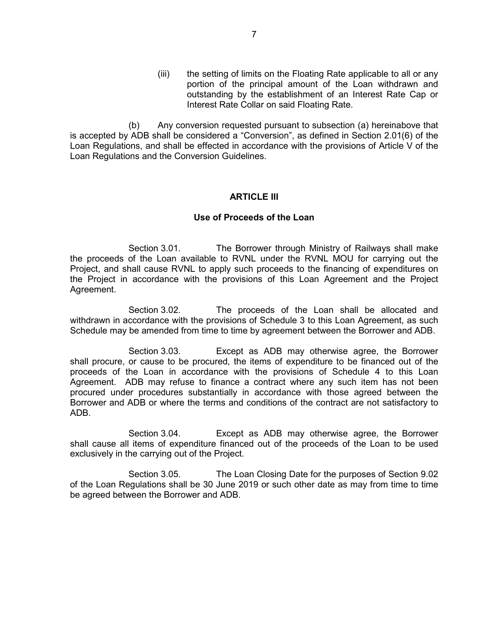(iii) the setting of limits on the Floating Rate applicable to all or any portion of the principal amount of the Loan withdrawn and outstanding by the establishment of an Interest Rate Cap or Interest Rate Collar on said Floating Rate.

(b) Any conversion requested pursuant to subsection (a) hereinabove that is accepted by ADB shall be considered a "Conversion", as defined in Section 2.01(6) of the Loan Regulations, and shall be effected in accordance with the provisions of Article V of the Loan Regulations and the Conversion Guidelines.

## **ARTICLE III**

## **Use of Proceeds of the Loan**

 Section 3.01. The Borrower through Ministry of Railways shall make the proceeds of the Loan available to RVNL under the RVNL MOU for carrying out the Project, and shall cause RVNL to apply such proceeds to the financing of expenditures on the Project in accordance with the provisions of this Loan Agreement and the Project Agreement.

 Section 3.02. The proceeds of the Loan shall be allocated and withdrawn in accordance with the provisions of Schedule 3 to this Loan Agreement, as such Schedule may be amended from time to time by agreement between the Borrower and ADB.

 Section 3.03. Except as ADB may otherwise agree, the Borrower shall procure, or cause to be procured, the items of expenditure to be financed out of the proceeds of the Loan in accordance with the provisions of Schedule 4 to this Loan Agreement. ADB may refuse to finance a contract where any such item has not been procured under procedures substantially in accordance with those agreed between the Borrower and ADB or where the terms and conditions of the contract are not satisfactory to ADB.

 Section 3.04. Except as ADB may otherwise agree, the Borrower shall cause all items of expenditure financed out of the proceeds of the Loan to be used exclusively in the carrying out of the Project.

 Section 3.05. The Loan Closing Date for the purposes of Section 9.02 of the Loan Regulations shall be 30 June 2019 or such other date as may from time to time be agreed between the Borrower and ADB.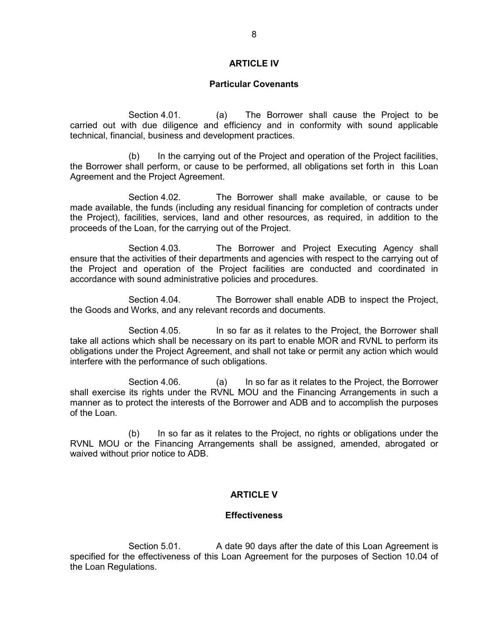## **ARTICLE IV**

### **Particular Covenants**

 Section 4.01. (a) The Borrower shall cause the Project to be carried out with due diligence and efficiency and in conformity with sound applicable technical, financial, business and development practices.

 (b) In the carrying out of the Project and operation of the Project facilities, the Borrower shall perform, or cause to be performed, all obligations set forth in this Loan Agreement and the Project Agreement.

 Section 4.02. The Borrower shall make available, or cause to be made available, the funds (including any residual financing for completion of contracts under the Project), facilities, services, land and other resources, as required, in addition to the proceeds of the Loan, for the carrying out of the Project.

 Section 4.03. The Borrower and Project Executing Agency shall ensure that the activities of their departments and agencies with respect to the carrying out of the Project and operation of the Project facilities are conducted and coordinated in accordance with sound administrative policies and procedures.

 Section 4.04. The Borrower shall enable ADB to inspect the Project, the Goods and Works, and any relevant records and documents.

Section 4.05. In so far as it relates to the Project, the Borrower shall take all actions which shall be necessary on its part to enable MOR and RVNL to perform its obligations under the Project Agreement, and shall not take or permit any action which would interfere with the performance of such obligations.

 Section 4.06. (a) In so far as it relates to the Project, the Borrower shall exercise its rights under the RVNL MOU and the Financing Arrangements in such a manner as to protect the interests of the Borrower and ADB and to accomplish the purposes of the Loan.

(b) In so far as it relates to the Project, no rights or obligations under the RVNL MOU or the Financing Arrangements shall be assigned, amended, abrogated or waived without prior notice to ADB.

## **ARTICLE V**

### **Effectiveness**

 Section 5.01. A date 90 days after the date of this Loan Agreement is specified for the effectiveness of this Loan Agreement for the purposes of Section 10.04 of the Loan Regulations.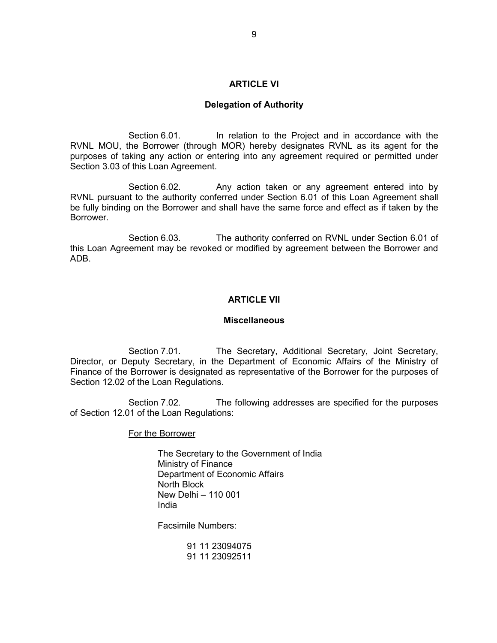### **ARTICLE VI**

### **Delegation of Authority**

 Section 6.01. In relation to the Project and in accordance with the RVNL MOU, the Borrower (through MOR) hereby designates RVNL as its agent for the purposes of taking any action or entering into any agreement required or permitted under Section 3.03 of this Loan Agreement.

Section 6.02. Any action taken or any agreement entered into by RVNL pursuant to the authority conferred under Section 6.01 of this Loan Agreement shall be fully binding on the Borrower and shall have the same force and effect as if taken by the Borrower.

 Section 6.03. The authority conferred on RVNL under Section 6.01 of this Loan Agreement may be revoked or modified by agreement between the Borrower and ADB.

## **ARTICLE VII**

### **Miscellaneous**

Section 7.01. The Secretary, Additional Secretary, Joint Secretary, Director, or Deputy Secretary, in the Department of Economic Affairs of the Ministry of Finance of the Borrower is designated as representative of the Borrower for the purposes of Section 12.02 of the Loan Regulations.

 Section 7.02. The following addresses are specified for the purposes of Section 12.01 of the Loan Regulations:

For the Borrower

 The Secretary to the Government of India Ministry of Finance Department of Economic Affairs North Block New Delhi – 110 001 India

Facsimile Numbers:

 91 11 23094075 91 11 23092511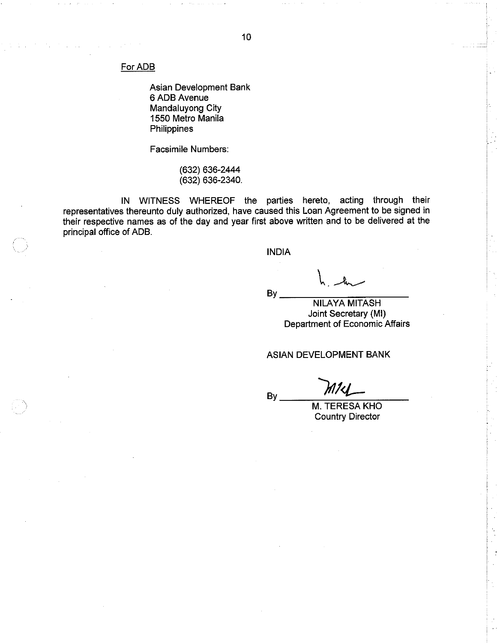For ADB

Asian Development Bank 6 ADB Avenue Mandaluyong City 1550 Metro Manila Philippines

Facsimile Numbers:

(632) 636-2444  $(632) 636 - 2340.$ 

IN WITNESS WHEREOF the parties hereto, acting through their representatives thereunto duly authorized, have caused this Loan Agreement to be signed in their respective names as of the day and year first above written and to be delivered at the principal office of ADB.

**INDIA** 

By.

**NILAYA MITASH** Joint Secretary (MI) Department of Economic Affairs

### ASIAN DEVELOPMENT BANK

By

M. TERESA KHO **Country Director**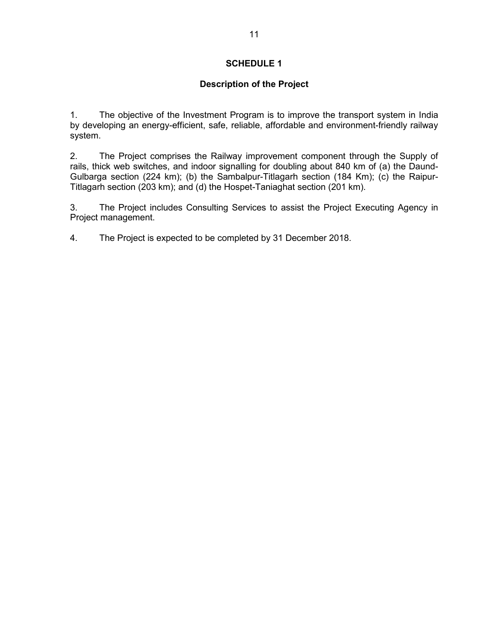# **Description of the Project**

1. The objective of the Investment Program is to improve the transport system in India by developing an energy-efficient, safe, reliable, affordable and environment-friendly railway system.

2. The Project comprises the Railway improvement component through the Supply of rails, thick web switches, and indoor signalling for doubling about 840 km of (a) the Daund-Gulbarga section (224 km); (b) the Sambalpur-Titlagarh section (184 Km); (c) the Raipur-Titlagarh section (203 km); and (d) the Hospet-Taniaghat section (201 km).

3. The Project includes Consulting Services to assist the Project Executing Agency in Project management.

4. The Project is expected to be completed by 31 December 2018.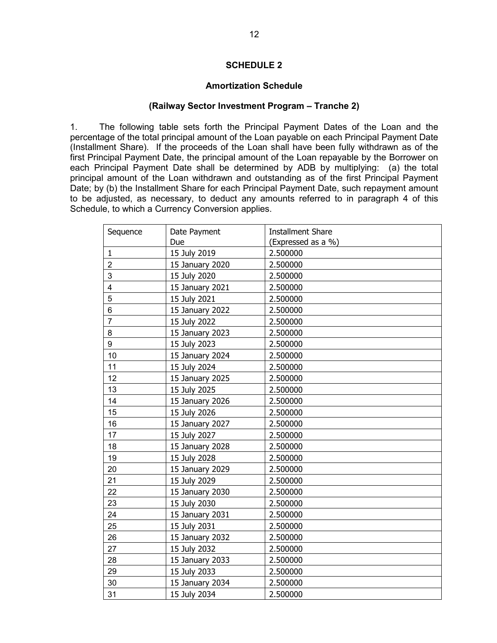## **Amortization Schedule**

### **(Railway Sector Investment Program – Tranche 2)**

1. The following table sets forth the Principal Payment Dates of the Loan and the percentage of the total principal amount of the Loan payable on each Principal Payment Date (Installment Share). If the proceeds of the Loan shall have been fully withdrawn as of the first Principal Payment Date, the principal amount of the Loan repayable by the Borrower on each Principal Payment Date shall be determined by ADB by multiplying: (a) the total principal amount of the Loan withdrawn and outstanding as of the first Principal Payment Date; by (b) the Installment Share for each Principal Payment Date, such repayment amount to be adjusted, as necessary, to deduct any amounts referred to in paragraph 4 of this Schedule, to which a Currency Conversion applies.

| <b>Installment Share</b><br>Sequence<br>Date Payment |                 |                    |  |
|------------------------------------------------------|-----------------|--------------------|--|
|                                                      | Due             | (Expressed as a %) |  |
| $\mathbf{1}$                                         | 15 July 2019    | 2.500000           |  |
| $\overline{2}$                                       | 15 January 2020 | 2.500000           |  |
| 3                                                    | 15 July 2020    | 2.500000           |  |
| $\overline{\mathbf{4}}$                              | 15 January 2021 | 2.500000           |  |
| 5                                                    | 15 July 2021    | 2.500000           |  |
| 6                                                    | 15 January 2022 | 2.500000           |  |
| $\overline{7}$                                       | 15 July 2022    | 2.500000           |  |
| 8                                                    | 15 January 2023 | 2.500000           |  |
| 9                                                    | 15 July 2023    | 2.500000           |  |
| 10                                                   | 15 January 2024 | 2.500000           |  |
| 11                                                   | 15 July 2024    | 2.500000           |  |
| 12                                                   | 15 January 2025 | 2.500000           |  |
| 13                                                   | 15 July 2025    | 2.500000           |  |
| 14                                                   | 15 January 2026 | 2.500000           |  |
| 15                                                   | 15 July 2026    | 2.500000           |  |
| 16                                                   | 15 January 2027 | 2.500000           |  |
| 17                                                   | 15 July 2027    | 2.500000           |  |
| 18                                                   | 15 January 2028 | 2.500000           |  |
| 19                                                   | 15 July 2028    | 2.500000           |  |
| 20                                                   | 15 January 2029 | 2.500000           |  |
| 21                                                   | 15 July 2029    | 2.500000           |  |
| 22                                                   | 15 January 2030 | 2.500000           |  |
| 23                                                   | 15 July 2030    | 2.500000           |  |
| 24                                                   | 15 January 2031 | 2.500000           |  |
| 25                                                   | 15 July 2031    | 2.500000           |  |
| 26                                                   | 15 January 2032 | 2.500000           |  |
| 27                                                   | 15 July 2032    | 2.500000           |  |
| 28                                                   | 15 January 2033 | 2.500000           |  |
| 29                                                   | 15 July 2033    | 2.500000           |  |
| 30                                                   | 15 January 2034 | 2.500000           |  |
| 31                                                   | 15 July 2034    | 2.500000           |  |
|                                                      |                 |                    |  |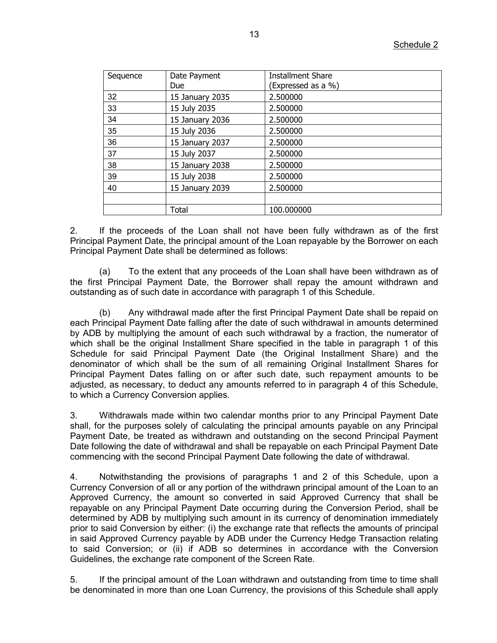| Sequence | Date Payment<br><b>Due</b> | Installment Share<br>(Expressed as a %) |  |
|----------|----------------------------|-----------------------------------------|--|
| 32       | 15 January 2035            | 2.500000                                |  |
| 33       | 15 July 2035               | 2.500000                                |  |
| 34       | 15 January 2036            | 2.500000                                |  |
| 35       | 15 July 2036               | 2.500000                                |  |
| 36       | 15 January 2037            | 2.500000                                |  |
| 37       | 15 July 2037               | 2.500000                                |  |
| 38       | 15 January 2038            | 2.500000                                |  |
| 39       | 15 July 2038               | 2.500000                                |  |
| 40       | 15 January 2039            | 2.500000                                |  |
|          |                            |                                         |  |
|          | <b>Total</b>               | 100.000000                              |  |

2. If the proceeds of the Loan shall not have been fully withdrawn as of the first Principal Payment Date, the principal amount of the Loan repayable by the Borrower on each Principal Payment Date shall be determined as follows:

To the extent that any proceeds of the Loan shall have been withdrawn as of the first Principal Payment Date, the Borrower shall repay the amount withdrawn and outstanding as of such date in accordance with paragraph 1 of this Schedule.

(b) Any withdrawal made after the first Principal Payment Date shall be repaid on each Principal Payment Date falling after the date of such withdrawal in amounts determined by ADB by multiplying the amount of each such withdrawal by a fraction, the numerator of which shall be the original Installment Share specified in the table in paragraph 1 of this Schedule for said Principal Payment Date (the Original Installment Share) and the denominator of which shall be the sum of all remaining Original Installment Shares for Principal Payment Dates falling on or after such date, such repayment amounts to be adjusted, as necessary, to deduct any amounts referred to in paragraph 4 of this Schedule, to which a Currency Conversion applies.

3. Withdrawals made within two calendar months prior to any Principal Payment Date shall, for the purposes solely of calculating the principal amounts payable on any Principal Payment Date, be treated as withdrawn and outstanding on the second Principal Payment Date following the date of withdrawal and shall be repayable on each Principal Payment Date commencing with the second Principal Payment Date following the date of withdrawal.

4. Notwithstanding the provisions of paragraphs 1 and 2 of this Schedule, upon a Currency Conversion of all or any portion of the withdrawn principal amount of the Loan to an Approved Currency, the amount so converted in said Approved Currency that shall be repayable on any Principal Payment Date occurring during the Conversion Period, shall be determined by ADB by multiplying such amount in its currency of denomination immediately prior to said Conversion by either: (i) the exchange rate that reflects the amounts of principal in said Approved Currency payable by ADB under the Currency Hedge Transaction relating to said Conversion; or (ii) if ADB so determines in accordance with the Conversion Guidelines, the exchange rate component of the Screen Rate.

5. If the principal amount of the Loan withdrawn and outstanding from time to time shall be denominated in more than one Loan Currency, the provisions of this Schedule shall apply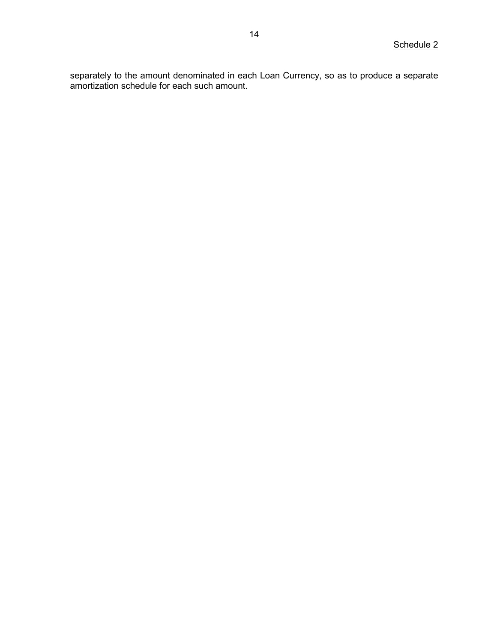separately to the amount denominated in each Loan Currency, so as to produce a separate amortization schedule for each such amount.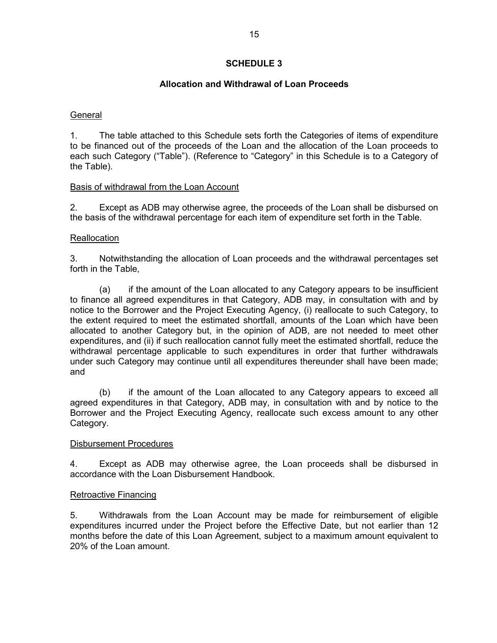# **Allocation and Withdrawal of Loan Proceeds**

## **General**

1. The table attached to this Schedule sets forth the Categories of items of expenditure to be financed out of the proceeds of the Loan and the allocation of the Loan proceeds to each such Category ("Table"). (Reference to "Category" in this Schedule is to a Category of the Table).

# Basis of withdrawal from the Loan Account

2. Except as ADB may otherwise agree, the proceeds of the Loan shall be disbursed on the basis of the withdrawal percentage for each item of expenditure set forth in the Table.

# **Reallocation**

3. Notwithstanding the allocation of Loan proceeds and the withdrawal percentages set forth in the Table,

 (a) if the amount of the Loan allocated to any Category appears to be insufficient to finance all agreed expenditures in that Category, ADB may, in consultation with and by notice to the Borrower and the Project Executing Agency, (i) reallocate to such Category, to the extent required to meet the estimated shortfall, amounts of the Loan which have been allocated to another Category but, in the opinion of ADB, are not needed to meet other expenditures, and (ii) if such reallocation cannot fully meet the estimated shortfall, reduce the withdrawal percentage applicable to such expenditures in order that further withdrawals under such Category may continue until all expenditures thereunder shall have been made; and

 (b) if the amount of the Loan allocated to any Category appears to exceed all agreed expenditures in that Category, ADB may, in consultation with and by notice to the Borrower and the Project Executing Agency, reallocate such excess amount to any other Category.

## Disbursement Procedures

4. Except as ADB may otherwise agree, the Loan proceeds shall be disbursed in accordance with the Loan Disbursement Handbook.

## Retroactive Financing

5. Withdrawals from the Loan Account may be made for reimbursement of eligible expenditures incurred under the Project before the Effective Date, but not earlier than 12 months before the date of this Loan Agreement, subject to a maximum amount equivalent to 20% of the Loan amount.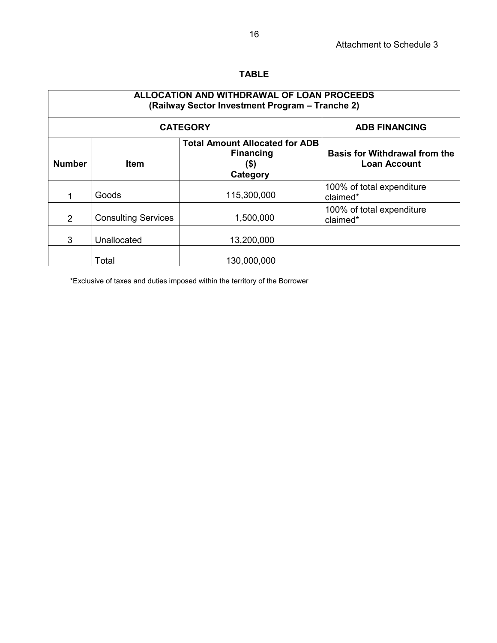# **TABLE**

| ALLOCATION AND WITHDRAWAL OF LOAN PROCEEDS<br>(Railway Sector Investment Program - Tranche 2) |                            |                                                                                  |                                                             |  |  |  |
|-----------------------------------------------------------------------------------------------|----------------------------|----------------------------------------------------------------------------------|-------------------------------------------------------------|--|--|--|
|                                                                                               | <b>CATEGORY</b>            | <b>ADB FINANCING</b>                                                             |                                                             |  |  |  |
| <b>Number</b>                                                                                 | <b>Item</b>                | <b>Total Amount Allocated for ADB</b><br><b>Financing</b><br>$($ \$)<br>Category | <b>Basis for Withdrawal from the</b><br><b>Loan Account</b> |  |  |  |
|                                                                                               | Goods                      | 115,300,000                                                                      | 100% of total expenditure<br>claimed*                       |  |  |  |
| $\mathcal{P}$                                                                                 | <b>Consulting Services</b> | 1,500,000                                                                        | 100% of total expenditure<br>claimed*                       |  |  |  |
| 3                                                                                             | Unallocated                | 13,200,000                                                                       |                                                             |  |  |  |
|                                                                                               | Total                      | 130,000,000                                                                      |                                                             |  |  |  |

\*Exclusive of taxes and duties imposed within the territory of the Borrower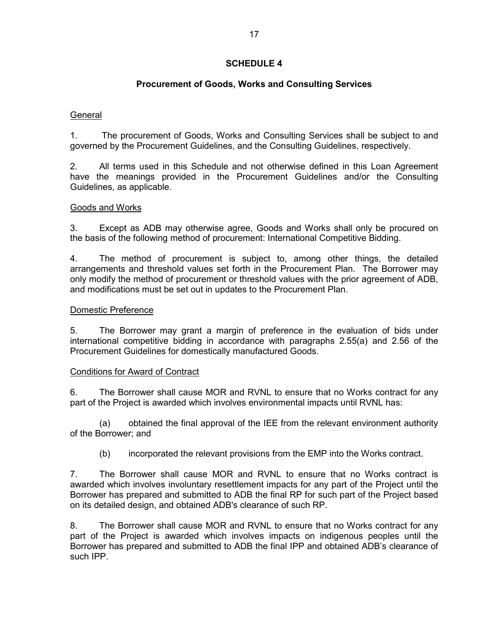# **Procurement of Goods, Works and Consulting Services**

# **General**

1. The procurement of Goods, Works and Consulting Services shall be subject to and governed by the Procurement Guidelines, and the Consulting Guidelines, respectively.

2. All terms used in this Schedule and not otherwise defined in this Loan Agreement have the meanings provided in the Procurement Guidelines and/or the Consulting Guidelines, as applicable.

# Goods and Works

3. Except as ADB may otherwise agree, Goods and Works shall only be procured on the basis of the following method of procurement: International Competitive Bidding.

4. The method of procurement is subject to, among other things, the detailed arrangements and threshold values set forth in the Procurement Plan. The Borrower may only modify the method of procurement or threshold values with the prior agreement of ADB, and modifications must be set out in updates to the Procurement Plan.

## Domestic Preference

5. The Borrower may grant a margin of preference in the evaluation of bids under international competitive bidding in accordance with paragraphs 2.55(a) and 2.56 of the Procurement Guidelines for domestically manufactured Goods.

## Conditions for Award of Contract

6. The Borrower shall cause MOR and RVNL to ensure that no Works contract for any part of the Project is awarded which involves environmental impacts until RVNL has:

(a) obtained the final approval of the IEE from the relevant environment authority of the Borrower; and

(b) incorporated the relevant provisions from the EMP into the Works contract.

7. The Borrower shall cause MOR and RVNL to ensure that no Works contract is awarded which involves involuntary resettlement impacts for any part of the Project until the Borrower has prepared and submitted to ADB the final RP for such part of the Project based on its detailed design, and obtained ADB's clearance of such RP.

8. The Borrower shall cause MOR and RVNL to ensure that no Works contract for any part of the Project is awarded which involves impacts on indigenous peoples until the Borrower has prepared and submitted to ADB the final IPP and obtained ADB's clearance of such IPP.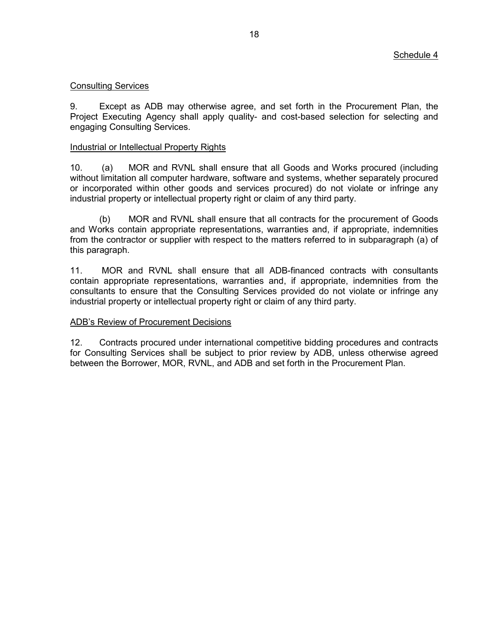## Consulting Services

9. Except as ADB may otherwise agree, and set forth in the Procurement Plan, the Project Executing Agency shall apply quality- and cost-based selection for selecting and engaging Consulting Services.

## Industrial or Intellectual Property Rights

10. (a) MOR and RVNL shall ensure that all Goods and Works procured (including without limitation all computer hardware, software and systems, whether separately procured or incorporated within other goods and services procured) do not violate or infringe any industrial property or intellectual property right or claim of any third party.

 (b) MOR and RVNL shall ensure that all contracts for the procurement of Goods and Works contain appropriate representations, warranties and, if appropriate, indemnities from the contractor or supplier with respect to the matters referred to in subparagraph (a) of this paragraph.

11. MOR and RVNL shall ensure that all ADB-financed contracts with consultants contain appropriate representations, warranties and, if appropriate, indemnities from the consultants to ensure that the Consulting Services provided do not violate or infringe any industrial property or intellectual property right or claim of any third party.

### ADB's Review of Procurement Decisions

12. Contracts procured under international competitive bidding procedures and contracts for Consulting Services shall be subject to prior review by ADB, unless otherwise agreed between the Borrower, MOR, RVNL, and ADB and set forth in the Procurement Plan.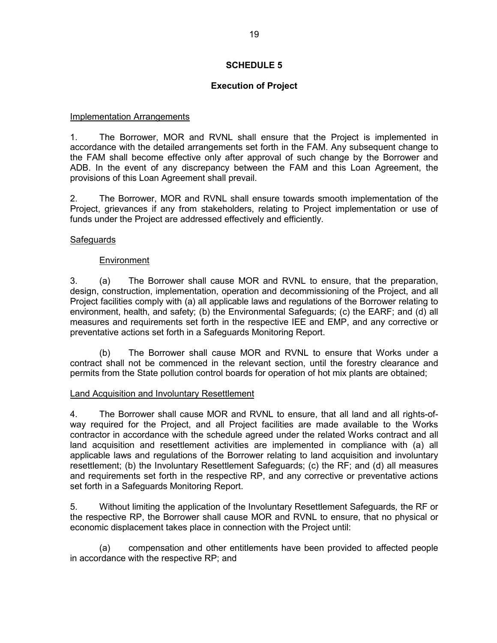# **Execution of Project**

# Implementation Arrangements

1. The Borrower, MOR and RVNL shall ensure that the Project is implemented in accordance with the detailed arrangements set forth in the FAM. Any subsequent change to the FAM shall become effective only after approval of such change by the Borrower and ADB. In the event of any discrepancy between the FAM and this Loan Agreement, the provisions of this Loan Agreement shall prevail.

2. The Borrower, MOR and RVNL shall ensure towards smooth implementation of the Project, grievances if any from stakeholders, relating to Project implementation or use of funds under the Project are addressed effectively and efficiently.

# **Safeguards**

# Environment

3. (a) The Borrower shall cause MOR and RVNL to ensure, that the preparation, design, construction, implementation, operation and decommissioning of the Project, and all Project facilities comply with (a) all applicable laws and regulations of the Borrower relating to environment, health, and safety; (b) the Environmental Safeguards; (c) the EARF; and (d) all measures and requirements set forth in the respective IEE and EMP, and any corrective or preventative actions set forth in a Safeguards Monitoring Report.

(b) The Borrower shall cause MOR and RVNL to ensure that Works under a contract shall not be commenced in the relevant section, until the forestry clearance and permits from the State pollution control boards for operation of hot mix plants are obtained;

## Land Acquisition and Involuntary Resettlement

4. The Borrower shall cause MOR and RVNL to ensure, that all land and all rights-ofway required for the Project, and all Project facilities are made available to the Works contractor in accordance with the schedule agreed under the related Works contract and all land acquisition and resettlement activities are implemented in compliance with (a) all applicable laws and regulations of the Borrower relating to land acquisition and involuntary resettlement; (b) the Involuntary Resettlement Safeguards; (c) the RF; and (d) all measures and requirements set forth in the respective RP, and any corrective or preventative actions set forth in a Safeguards Monitoring Report.

5. Without limiting the application of the Involuntary Resettlement Safeguards*,* the RF or the respective RP, the Borrower shall cause MOR and RVNL to ensure, that no physical or economic displacement takes place in connection with the Project until:

(a) compensation and other entitlements have been provided to affected people in accordance with the respective RP; and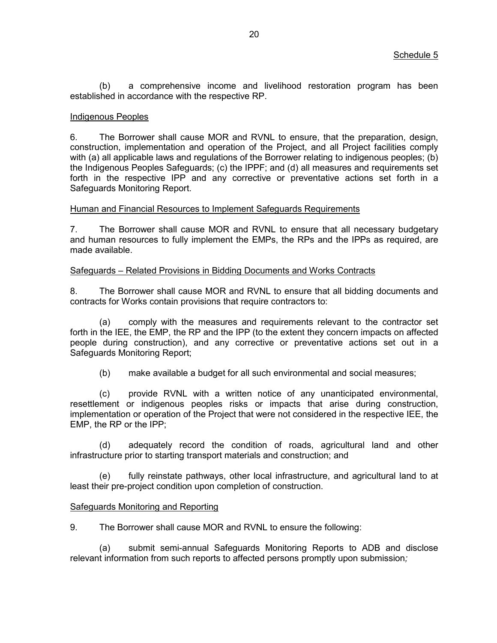(b) a comprehensive income and livelihood restoration program has been established in accordance with the respective RP.

## Indigenous Peoples

6. The Borrower shall cause MOR and RVNL to ensure, that the preparation, design, construction, implementation and operation of the Project, and all Project facilities comply with (a) all applicable laws and regulations of the Borrower relating to indigenous peoples; (b) the Indigenous Peoples Safeguards; (c) the IPPF; and (d) all measures and requirements set forth in the respective IPP and any corrective or preventative actions set forth in a Safeguards Monitoring Report.

### Human and Financial Resources to Implement Safeguards Requirements

7. The Borrower shall cause MOR and RVNL to ensure that all necessary budgetary and human resources to fully implement the EMPs, the RPs and the IPPs as required, are made available.

### Safeguards – Related Provisions in Bidding Documents and Works Contracts

8. The Borrower shall cause MOR and RVNL to ensure that all bidding documents and contracts for Works contain provisions that require contractors to:

(a) comply with the measures and requirements relevant to the contractor set forth in the IEE, the EMP, the RP and the IPP (to the extent they concern impacts on affected people during construction), and any corrective or preventative actions set out in a Safeguards Monitoring Report;

(b) make available a budget for all such environmental and social measures;

(c) provide RVNL with a written notice of any unanticipated environmental, resettlement or indigenous peoples risks or impacts that arise during construction, implementation or operation of the Project that were not considered in the respective IEE, the EMP, the RP or the IPP;

(d) adequately record the condition of roads, agricultural land and other infrastructure prior to starting transport materials and construction; and

(e) fully reinstate pathways, other local infrastructure, and agricultural land to at least their pre-project condition upon completion of construction.

## Safeguards Monitoring and Reporting

9. The Borrower shall cause MOR and RVNL to ensure the following:

(a) submit semi-annual Safeguards Monitoring Reports to ADB and disclose relevant information from such reports to affected persons promptly upon submission*;*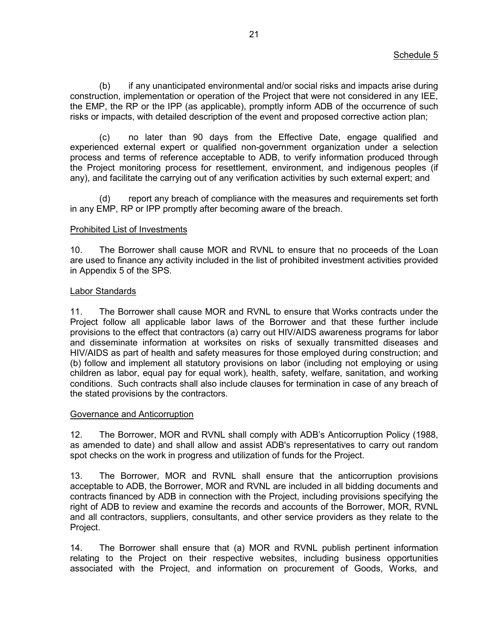(b) if any unanticipated environmental and/or social risks and impacts arise during construction, implementation or operation of the Project that were not considered in any IEE, the EMP, the RP or the IPP (as applicable), promptly inform ADB of the occurrence of such risks or impacts, with detailed description of the event and proposed corrective action plan;

(c) no later than 90 days from the Effective Date, engage qualified and experienced external expert or qualified non-government organization under a selection process and terms of reference acceptable to ADB, to verify information produced through the Project monitoring process for resettlement, environment, and indigenous peoples (if any), and facilitate the carrying out of any verification activities by such external expert; and

(d) report any breach of compliance with the measures and requirements set forth in any EMP, RP or IPP promptly after becoming aware of the breach.

### Prohibited List of Investments

10. The Borrower shall cause MOR and RVNL to ensure that no proceeds of the Loan are used to finance any activity included in the list of prohibited investment activities provided in Appendix 5 of the SPS.

### Labor Standards

11. The Borrower shall cause MOR and RVNL to ensure that Works contracts under the Project follow all applicable labor laws of the Borrower and that these further include provisions to the effect that contractors (a) carry out HIV/AIDS awareness programs for labor and disseminate information at worksites on risks of sexually transmitted diseases and HIV/AIDS as part of health and safety measures for those employed during construction; and (b) follow and implement all statutory provisions on labor (including not employing or using children as labor, equal pay for equal work), health, safety, welfare, sanitation, and working conditions. Such contracts shall also include clauses for termination in case of any breach of the stated provisions by the contractors.

### Governance and Anticorruption

12. The Borrower, MOR and RVNL shall comply with ADB's Anticorruption Policy (1988, as amended to date) and shall allow and assist ADB's representatives to carry out random spot checks on the work in progress and utilization of funds for the Project.

13. The Borrower, MOR and RVNL shall ensure that the anticorruption provisions acceptable to ADB, the Borrower, MOR and RVNL are included in all bidding documents and contracts financed by ADB in connection with the Project, including provisions specifying the right of ADB to review and examine the records and accounts of the Borrower, MOR, RVNL and all contractors, suppliers, consultants, and other service providers as they relate to the Project.

14. The Borrower shall ensure that (a) MOR and RVNL publish pertinent information relating to the Project on their respective websites, including business opportunities associated with the Project, and information on procurement of Goods, Works, and